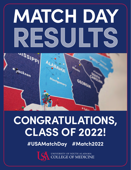# **MATCH DAY RESULTS RESULTS**

· jackson

# **CONGRATULATIONS, CLASS OF 2022!**

Montgomery

**#USAMatchDay #Match2022** 

UNIVERSITY OF SOUTH ALABAMA<br>COLLEGE OF MEDICINE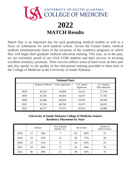

Match Day is an important day for each graduating medical student as well as a focus of celebration for each medical school. Across the United States, medical students simultaneously learn of the locations of the residency programs in which they will begin their graduate medical education training. This year, as in the past, we are extremely proud of our USA COM students and their success in securing excellent residency positions. Their success reflects years of hard work on their part and also speaks to the quality of the educational training provided to them here in the College of Medicine at the University of South Alabama.

| <b>National Data</b> |                          |                         |                           |                             |  |  |  |  |
|----------------------|--------------------------|-------------------------|---------------------------|-----------------------------|--|--|--|--|
|                      | <b>Positions Offered</b> | <b>Total Applicants</b> | U.S. Senior<br>Applicants | U.S. Seniors<br>Who Matched |  |  |  |  |
| 2018                 | 30,232                   | 43,909                  | 19,312                    | 17,740                      |  |  |  |  |
| 2019                 | 35,185                   | 44,603                  | 19,417                    | 17,763                      |  |  |  |  |
| 2020                 | 34,266                   | 44,959                  | 19,781                    | 18,108                      |  |  |  |  |
| 2021                 | 35,194                   | 48,700                  | 20,475                    | 18,435                      |  |  |  |  |
| 2022                 | 36,277                   | 47,675                  | 20,553                    | 18,486                      |  |  |  |  |

# **University of South Alabama College of Medicine Seniors Residency Placement by State**

|      | Alabama |     | <b>USA Hospitals</b><br>(Mobile, AL) | Out-of-State |     | Number of<br><b>Different States</b> |  |
|------|---------|-----|--------------------------------------|--------------|-----|--------------------------------------|--|
| 2018 | 12      | 16% |                                      | 61           | 84% | 22                                   |  |
| 2019 | 19      | 25% | 12                                   | 58           | 75% | 20                                   |  |
| 2020 | 23      | 35% | 8                                    | 42           | 65% | 23                                   |  |
| 2021 | 24      | 36% | 17                                   | 43           | 64% | 19                                   |  |
| 2022 | 26      | 36% | 21                                   | 46           | 64% | 16                                   |  |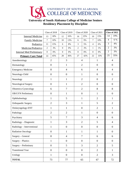

# **University of South Alabama College of Medicine Seniors Residency Placement by Discipline**

|                                 |                                | Class of 2018    |                  | Class of 2019                    | Class of 2020     |                  | Class of 2021    |                | <b>Class of 2022</b> |                  |  |
|---------------------------------|--------------------------------|------------------|------------------|----------------------------------|-------------------|------------------|------------------|----------------|----------------------|------------------|--|
| <b>Internal Medicine</b>        | 13                             | 18%              | 12               | 16%                              | 16                | 25%              | 10               | 15%            | 14                   | 19%              |  |
| <b>Family Medicine</b>          | $\overline{7}$                 | 10%              | 10               | 13%                              | 6                 | 9%               | $\overline{7}$   | 10%            | $\overline{4}$       | 6 %              |  |
| Pediatrics                      | 11                             | 15%              | 6                | 8%                               | $\overline{3}$    | 5%               | $\overline{4}$   | 6%             | 3                    | 4%               |  |
| Medicine/Pediatrics             | $\overline{2}$                 | 3%               | $\boldsymbol{0}$ | 0%                               | $\mathfrak{2}$    | 3%               | $\mathbf{1}$     | 1%             | $\overline{2}$       | 3%               |  |
| <b>Internal Med Preliminary</b> | $\boldsymbol{0}$               | $0\%$            | $\boldsymbol{0}$ | 0%                               | $\boldsymbol{0}$  | 0%               | $\boldsymbol{0}$ | 0%             | $\overline{2}$       | 3%               |  |
| <b>Primary Care Total</b>       | 33                             | 45%              | 28               | 36%                              | 27                | 42%              | 22               | 33%            | 25                   | 35%              |  |
| Anesthesiology                  |                                | $\overline{2}$   |                  | 3                                |                   | $\overline{4}$   |                  | $\mathbf{1}$   | $\overline{4}$       |                  |  |
| Dermatology                     |                                | $\mathbf{0}$     |                  | 1                                |                   | $\overline{2}$   |                  | $\overline{0}$ | $\overline{0}$       |                  |  |
| <b>Emergency Medicine</b>       |                                | 8                |                  | $\overline{4}$                   |                   | 6                |                  | $\overline{4}$ | $\overline{4}$       |                  |  |
| Neurology-Child                 |                                | $\boldsymbol{0}$ |                  | $\boldsymbol{0}$                 |                   | $\mathbf{1}$     |                  | $\overline{0}$ |                      | $\boldsymbol{0}$ |  |
| Neurology                       |                                | $\mathbf{1}$     |                  | $\mathbf{1}$                     |                   | $\overline{2}$   |                  | $\overline{0}$ | $\overline{2}$       |                  |  |
| Neurological Surgery            |                                | $\mathbf{0}$     |                  | 1                                |                   | $\overline{2}$   |                  | $\overline{0}$ | $\overline{0}$       |                  |  |
| Obstetrics-Gynecology           | 6                              |                  |                  | $\overline{7}$<br>$\overline{2}$ |                   |                  | 8                |                | 8                    |                  |  |
| <b>OB/GYN Preliminary</b>       | $\boldsymbol{0}$               |                  | $\mathbf{1}$     |                                  | $\boldsymbol{0}$  |                  | $\mathbf{1}$     |                | $\overline{0}$       |                  |  |
| Ophthalmology                   | $\mathbf{1}$                   |                  | 5                |                                  | $\mathbf{1}$      |                  | $\overline{2}$   |                | $\mathbf{1}$         |                  |  |
| Orthopaedic Surgery             |                                | $\overline{2}$   |                  | 3                                | 5<br>$\mathbf{1}$ |                  |                  |                | $\overline{2}$       |                  |  |
| Otolaryngology-ENT              |                                | $\mathbf{1}$     |                  | $\mathbf{1}$                     |                   | $\boldsymbol{0}$ |                  | $\overline{2}$ |                      | $\mathbf{1}$     |  |
| Pathology                       |                                | $\overline{2}$   |                  | $\overline{2}$                   |                   | $\mathbf{1}$     |                  | $\overline{0}$ |                      | $\overline{0}$   |  |
| Psychiatry                      |                                | 5                |                  | $\tau$                           |                   | 3                | $\overline{4}$   |                |                      | 6                |  |
| Radiology - Diagnostic          |                                | $\mathbf{1}$     | 3                |                                  | $\overline{2}$    |                  | 5                |                | $\overline{4}$       |                  |  |
| Radiology - Interventional      | 1                              |                  | $\boldsymbol{0}$ |                                  | $\boldsymbol{0}$  |                  | $\boldsymbol{0}$ |                | $\boldsymbol{0}$     |                  |  |
| <b>Radiation Oncology</b>       |                                | $\overline{0}$   | $\mathbf{1}$     |                                  | $\mathbf{1}$      |                  | $\mathbf{1}$     |                |                      | $\mathbf{0}$     |  |
| Surgery - General               | 8                              |                  | $\overline{4}$   |                                  |                   | $\overline{7}$   |                  | 6              |                      | 6                |  |
| Surgery - Plastics              |                                | $\mathbf{1}$     |                  | $\boldsymbol{0}$                 |                   | $\boldsymbol{0}$ |                  | $\overline{0}$ |                      | $\overline{0}$   |  |
| Surgery - Preliminary           |                                | $\boldsymbol{0}$ |                  | 5                                |                   | $\overline{3}$   |                  | $\overline{2}$ |                      | 5                |  |
| <b>Transitional Year</b>        |                                | $\overline{0}$   |                  | $\overline{0}$                   |                   | $\overline{0}$   |                  | $\overline{2}$ |                      | $\mathbf{1}$     |  |
| Urology                         | $\overline{0}$<br>$\mathbf{1}$ |                  |                  | $\mathbf{0}$                     |                   | $\overline{2}$   |                  |                | $\overline{3}$       |                  |  |
| <b>TOTAL</b>                    |                                | 73               |                  | 77                               |                   | 65               |                  | 67             |                      | 72               |  |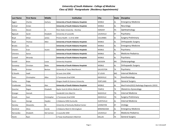## *University of South Alabama ‐ College of Medicine Class of 2022 ‐ Postgraduate (Residency Appointments)*

| <b>Last Name</b> | <b>First Name</b> | <b>Middle</b> | <b>Institution</b><br><b>City</b>            |                      | <b>State</b> | <b>Discipline</b>                            |
|------------------|-------------------|---------------|----------------------------------------------|----------------------|--------------|----------------------------------------------|
| Aggen            | Charles           | Zachary       | <b>University of South Alabama Hospitals</b> | <b>MOBILE</b>        | AL           | <b>Emergency Medicine</b>                    |
| Arshad           | Arslan            |               | University of South Alabama Hospitals        | <b>MOBILE</b>        | AL           | Neurology                                    |
| Askins           | Devon             | А.            | Penn State University - Hershey              | <b>HERSHEY</b><br>PA |              | Ophthalmology                                |
| Bignault         | Sarah             | Elizabeth     | University of Louisville                     | LOUISVILLE           | KY           | Psychiatry                                   |
| Boyd             | Ethan             | James         | Prisma Health - U of SC SOM                  | <b>COLUMBIA</b>      | SC           | Surgery-Preliminary                          |
| Boyd             | Thomas            | Allen         | University of South Alabama Hospitals        | <b>MOBILE</b>        | AL           | Orthopaedic Surgery                          |
| <b>Brooks</b>    | Lily              |               | <b>University of South Alabama Hospitals</b> | <b>MOBILE</b>        | AL           | <b>Emergency Medicine</b>                    |
| Chavers          | Evan              | Austin        | University of South Alabama Hospitals        | <b>MOBILE</b>        | AL           | Psychiatry                                   |
| Chinners         | Aaron             |               | University of South Alabama Hospitals        | <b>MOBILE</b>        | AL           | Medicine-Pediatrics                          |
| Crowell          | Miranda           |               | University of South Alabama Hospitals        | <b>MOBILE</b>        | AL           | Psychiatry                                   |
| Driskill         | Brian             | Lucas         | University Hospitals                         | <b>JACKSON</b>       | MS           | Otolaryngology                               |
| Dunaway          | Christian         | <b>Blake</b>  | University of South Alabama Hospitals        | <b>MOBILE</b>        | AL           | <b>Orthopaedic Surgery</b>                   |
| Dzeda            | Kristen           | Benton        | University of Texas Med Branch               | GALVESTON            | ТX           | Psychiatry                                   |
| El Sharkh        | Hadil             |               | St Louis Univ SOM                            | <b>ST LOUIS</b>      | <b>MO</b>    | Internal Medicine                            |
| Evers            | Christopher       | Allen         | U Tennessee Grad SOM                         | <b>KNOXVILLE</b>     | <b>TN</b>    | Anesthesiology                               |
| Farley           | Paige             |               | Oregon Health & Science University           | <b>PORTLAND</b>      | <b>OR</b>    | <b>General Surgery</b>                       |
| Friedlander      | Phillip           | Alan          | University of South Alabama Hospitals        | <b>MOBILE</b>        | AL           | Med-Prelim(2022) Radiology-Diagnostic (2023) |
| Goocher          | Regan             | Elizabeth     | Baylor Scott & White Medical Ctr             | <b>TEMPLE</b>        | TX           | Obstetrics-Gynecology                        |
| Granger          | Hannah            |               | Vanderbilt Univ Med Ctr                      | NASHVILLE            | <b>TN</b>    | <b>Internal Medicine</b>                     |
| Groark           | Sean              | Christopher   | U Tennessee Grad SOM                         | <b>KNOXVILLE</b>     | ΤN           | Surgery-Preliminary                          |
| Gunn             | George            | Hayden        | U Alabama SOM-Huntsville                     | <b>HUNTSVILLE</b>    | AL           | Internal Medicine                            |
| Hensley          | Alexandra         | М.            | University of Kentucky Medical Center        | LEXINGTON            | KY           | Urology                                      |
| Hereford         | Alicia            | Carole        | U Alabama Med Ctr-Birmingham                 | <b>BIRMINGHAM</b>    | AL           | <b>Emergency Medicine</b>                    |
| Hernandez        | Elizabeth         | Del Carmen    | U Louisville SOM                             | LOUISVILLE           | KY           | Medicine-Pediatrics                          |
| Heslin           | Ryan              |               | U Texas Southwestern Med Sch                 | <b>DALLAS</b>        | TX           | <b>General Surgery</b>                       |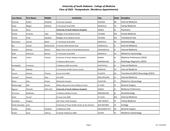## *University of South Alabama ‐ College of Medicine Class of 2022 ‐ Postgraduate (Residency Appointments)*

| <b>Last Name</b> | <b>First Name</b> | <b>Middle</b> | Institution                                      | <b>City</b>         | <b>State</b> | <b>Discipline</b>                    |
|------------------|-------------------|---------------|--------------------------------------------------|---------------------|--------------|--------------------------------------|
| Hickman          | Kaitlyn           | Elizabeth     | <b>University Hospitals</b>                      | <b>JACKSON</b>      | <b>MS</b>    | <b>Internal Medicine</b>             |
| Hood             | Megan             | Kathleen      | U Tennessee Grad SOM                             | KNOXVILLE           | <b>TN</b>    | <b>Family Medicine</b>               |
| Hossain          | Shyla             |               | <b>University of South Alabama Hospitals</b>     | <b>MOBILE</b>       | AL           | Psychiatry                           |
| Hunter           | Christian         | Tyler         | Madigan Army Medical Center                      | <b>TACOMA</b>       | WA           | <b>Family Medicine</b>               |
| Hunter           | Emily             | Goodwin       | Madigan Army Medical Center                      | TACOMA              | WA           | <b>Transitional Year</b>             |
| Hutcheson        | Samuel            | <b>Booth</b>  | U Tennessee Grad SOM                             | <b>KNOXVILLE</b>    | <b>TN</b>    | Anesthesiology                       |
| Ijaz             | Zohaib            | Mohammad      | U Florida COM-Shands Hosp                        | GAINESVILLE         | FL.          | <b>Internal Medicine</b>             |
| Jackson          | Brittany          | Shavon        | Mayo Clinic School of Grad Med Education         | <b>JACKSONVILLE</b> | <b>FL</b>    | Internal Medicine                    |
| Kaak             | Katherine         | Bonner        | U Tennessee Grad SOM                             | KNOXVILLE           | TN           | Obstetrics-Gynecology                |
| Knight           | Colton            | Thomas        | University of South Alabama Hospitals            | <b>MOBILE</b>       | AL           | Medicine-Preliminary (2022)          |
|                  |                   |               | U Alabama Med Center                             | <b>BIRMINGHAM</b>   | AL           | Radiology-Diagnostic (2023)          |
| Kondapally       | Pranayraj         |               | U Alabama SOM-Huntsville                         | <b>HUNTSVILLE</b>   | AL           | <b>Internal Medicine</b>             |
| Lall             | Malvika           |               | U Tennessee Health Science Center                | <b>MEMPHIS</b>      | <b>TN</b>    | <b>Internal Medicine</b>             |
| Lazzari          | Zachary           | Thomas        | Emory Univ SOM                                   | ATLANTA             | GA           | Transitional (2022) Neurology (2023) |
| Leonard          | Edward            | Ryan          | LSU SOM                                          | <b>NEW ORLEANS</b>  | LA           | <b>Internal Medicine</b>             |
| Mann             | Elise             | Kristen       | Methodist Hospital                               | <b>HOUSTON</b>      | TX           | Obstetrics-Gynecology                |
| McDonough        | Will              | Gerard        | William Beaumont Army Medical Center             | <b>EL PASO</b>      | <b>TX</b>    | <b>General Surgery</b>               |
| Nguyen           | Michelle          | Minh-Anh      | University of South Alabama Hospitals            | <b>MOBILE</b>       | AL           | Medicine-Preliminary                 |
| O'Connor         | <b>Matthews</b>   |               | U Alabama Medical Center                         | <b>BIRMINGHAM</b>   | AL           | Anesthesiology                       |
| Omar             | Yousef            |               | St Louis Univ SOM                                | <b>ST LOUIS</b>     | <b>MO</b>    | <b>Internal Medicine</b>             |
| Overbeek         | Gregory           |               | John Peter Smith Hospital                        | <b>FORT WORTH</b>   | <b>TX</b>    | <b>Family Medicine</b>               |
| Pardo-Granados   | Juan              |               | University of Texas Health Center at San Antonio | <b>SAN ANTONIO</b>  | TX           | Urology                              |
| Pardue           | Kaitlin           | Elizabeth     | U Oklahoma COM                                   | OKLAHOMA CITY       | OK           | <b>General Surgery</b>               |
| Parker           | Anna              | Cathryn       | St Davids Healthcare GME                         | <b>AUSTIN</b>       | <b>TX</b>    | Obstetrics-Gynecology                |